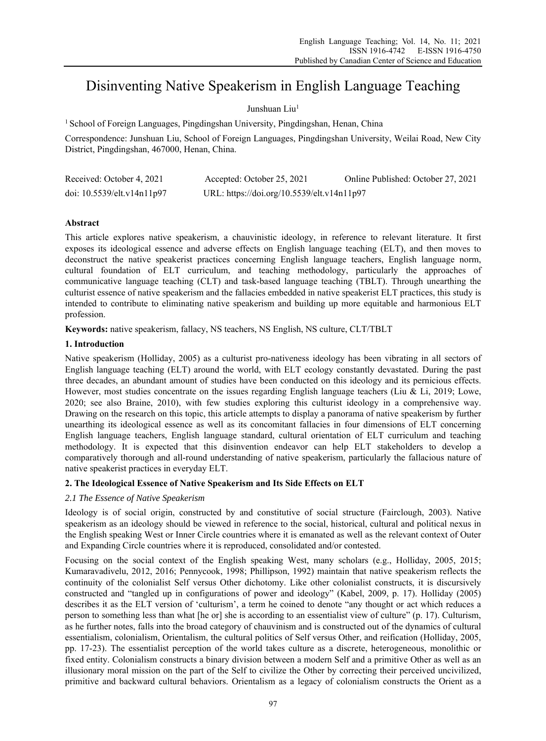# Disinventing Native Speakerism in English Language Teaching

# Junshuan Liu<sup>1</sup>

<sup>1</sup> School of Foreign Languages, Pingdingshan University, Pingdingshan, Henan, China

Correspondence: Junshuan Liu, School of Foreign Languages, Pingdingshan University, Weilai Road, New City District, Pingdingshan, 467000, Henan, China.

| Received: October 4, 2021  | Accepted: October 25, 2021                 | Online Published: October 27, 2021 |
|----------------------------|--------------------------------------------|------------------------------------|
| doi: 10.5539/elt.v14n11p97 | URL: https://doi.org/10.5539/elt.v14n11p97 |                                    |

# **Abstract**

This article explores native speakerism, a chauvinistic ideology, in reference to relevant literature. It first exposes its ideological essence and adverse effects on English language teaching (ELT), and then moves to deconstruct the native speakerist practices concerning English language teachers, English language norm, cultural foundation of ELT curriculum, and teaching methodology, particularly the approaches of communicative language teaching (CLT) and task-based language teaching (TBLT). Through unearthing the culturist essence of native speakerism and the fallacies embedded in native speakerist ELT practices, this study is intended to contribute to eliminating native speakerism and building up more equitable and harmonious ELT profession.

**Keywords:** native speakerism, fallacy, NS teachers, NS English, NS culture, CLT/TBLT

# **1. Introduction**

Native speakerism (Holliday, 2005) as a culturist pro-nativeness ideology has been vibrating in all sectors of English language teaching (ELT) around the world, with ELT ecology constantly devastated. During the past three decades, an abundant amount of studies have been conducted on this ideology and its pernicious effects. However, most studies concentrate on the issues regarding English language teachers (Liu & Li, 2019; Lowe, 2020; see also Braine, 2010), with few studies exploring this culturist ideology in a comprehensive way. Drawing on the research on this topic, this article attempts to display a panorama of native speakerism by further unearthing its ideological essence as well as its concomitant fallacies in four dimensions of ELT concerning English language teachers, English language standard, cultural orientation of ELT curriculum and teaching methodology. It is expected that this disinvention endeavor can help ELT stakeholders to develop a comparatively thorough and all-round understanding of native speakerism, particularly the fallacious nature of native speakerist practices in everyday ELT.

# **2. The Ideological Essence of Native Speakerism and Its Side Effects on ELT**

# *2.1 The Essence of Native Speakerism*

Ideology is of social origin, constructed by and constitutive of social structure (Fairclough, 2003). Native speakerism as an ideology should be viewed in reference to the social, historical, cultural and political nexus in the English speaking West or Inner Circle countries where it is emanated as well as the relevant context of Outer and Expanding Circle countries where it is reproduced, consolidated and/or contested.

Focusing on the social context of the English speaking West, many scholars (e.g., Holliday, 2005, 2015; Kumaravadivelu, 2012, 2016; Pennycook, 1998; Phillipson, 1992) maintain that native speakerism reflects the continuity of the colonialist Self versus Other dichotomy. Like other colonialist constructs, it is discursively constructed and "tangled up in configurations of power and ideology" (Kabel, 2009, p. 17). Holliday (2005) describes it as the ELT version of 'culturism', a term he coined to denote "any thought or act which reduces a person to something less than what [he or] she is according to an essentialist view of culture" (p. 17). Culturism, as he further notes, falls into the broad category of chauvinism and is constructed out of the dynamics of cultural essentialism, colonialism, Orientalism, the cultural politics of Self versus Other, and reification (Holliday, 2005, pp. 17-23). The essentialist perception of the world takes culture as a discrete, heterogeneous, monolithic or fixed entity. Colonialism constructs a binary division between a modern Self and a primitive Other as well as an illusionary moral mission on the part of the Self to civilize the Other by correcting their perceived uncivilized, primitive and backward cultural behaviors. Orientalism as a legacy of colonialism constructs the Orient as a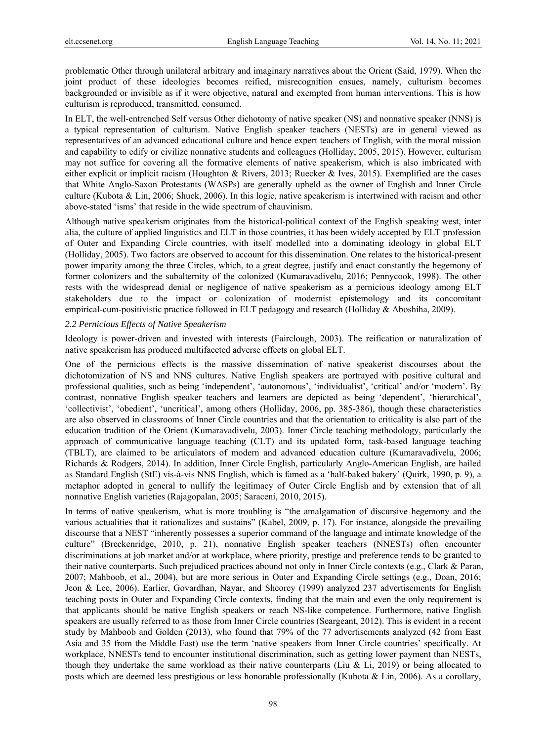problematic Other through unilateral arbitrary and imaginary narratives about the Orient (Said, 1979). When the joint product of these ideologies becomes reified, misrecognition ensues, namely, culturism becomes backgrounded or invisible as if it were objective, natural and exempted from human interventions. This is how culturism is reproduced, transmitted, consumed.

In ELT, the well-entrenched Self versus Other dichotomy of native speaker (NS) and nonnative speaker (NNS) is a typical representation of culturism. Native English speaker teachers (NESTs) are in general viewed as representatives of an advanced educational culture and hence expert teachers of English, with the moral mission and capability to edify or civilize nonnative students and colleagues (Holliday, 2005, 2015). However, culturism may not suffice for covering all the formative elements of native speakerism, which is also imbricated with either explicit or implicit racism (Houghton & Rivers, 2013; Ruecker & Ives, 2015). Exemplified are the cases that White Anglo-Saxon Protestants (WASPs) are generally upheld as the owner of English and Inner Circle culture (Kubota & Lin, 2006; Shuck, 2006). In this logic, native speakerism is intertwined with racism and other above-stated 'isms' that reside in the wide spectrum of chauvinism.

Although native speakerism originates from the historical-political context of the English speaking west, inter alia, the culture of applied linguistics and ELT in those countries, it has been widely accepted by ELT profession of Outer and Expanding Circle countries, with itself modelled into a dominating ideology in global ELT (Holliday, 2005). Two factors are observed to account for this dissemination. One relates to the historical-present power imparity among the three Circles, which, to a great degree, justify and enact constantly the hegemony of former colonizers and the subalternity of the colonized (Kumaravadivelu, 2016; Pennycook, 1998). The other rests with the widespread denial or negligence of native speakerism as a pernicious ideology among ELT stakeholders due to the impact or colonization of modernist epistemology and its concomitant empirical-cum-positivistic practice followed in ELT pedagogy and research (Holliday & Aboshiha, 2009).

#### *2.2 Pernicious Effects of Native Speakerism*

Ideology is power-driven and invested with interests (Fairclough, 2003). The reification or naturalization of native speakerism has produced multifaceted adverse effects on global ELT.

One of the pernicious effects is the massive dissemination of native speakerist discourses about the dichotomization of NS and NNS cultures. Native English speakers are portrayed with positive cultural and professional qualities, such as being 'independent', 'autonomous', 'individualist', 'critical' and/or 'modern'. By contrast, nonnative English speaker teachers and learners are depicted as being 'dependent', 'hierarchical', 'collectivist', 'obedient', 'uncritical', among others (Holliday, 2006, pp. 385-386), though these characteristics are also observed in classrooms of Inner Circle countries and that the orientation to criticality is also part of the education tradition of the Orient (Kumaravadivelu, 2003). Inner Circle teaching methodology, particularly the approach of communicative language teaching (CLT) and its updated form, task-based language teaching (TBLT), are claimed to be articulators of modern and advanced education culture (Kumaravadivelu, 2006; Richards & Rodgers, 2014). In addition, Inner Circle English, particularly Anglo-American English, are hailed as Standard English (StE) vis-à-vis NNS English, which is famed as a 'half-baked bakery' (Quirk, 1990, p. 9), a metaphor adopted in general to nullify the legitimacy of Outer Circle English and by extension that of all nonnative English varieties (Rajagopalan, 2005; Saraceni, 2010, 2015).

In terms of native speakerism, what is more troubling is "the amalgamation of discursive hegemony and the various actualities that it rationalizes and sustains" (Kabel, 2009, p. 17). For instance, alongside the prevailing discourse that a NEST "inherently possesses a superior command of the language and intimate knowledge of the culture" (Breckenridge, 2010, p. 21), nonnative English speaker teachers (NNESTs) often encounter discriminations at job market and/or at workplace, where priority, prestige and preference tends to be granted to their native counterparts. Such prejudiced practices abound not only in Inner Circle contexts (e.g., Clark & Paran, 2007; Mahboob, et al., 2004), but are more serious in Outer and Expanding Circle settings (e.g., Doan, 2016; Jeon & Lee, 2006). Earlier, Govardhan, Nayar, and Sheorey (1999) analyzed 237 advertisements for English teaching posts in Outer and Expanding Circle contexts, finding that the main and even the only requirement is that applicants should be native English speakers or reach NS-like competence. Furthermore, native English speakers are usually referred to as those from Inner Circle countries (Seargeant, 2012). This is evident in a recent study by Mahboob and Golden (2013), who found that 79% of the 77 advertisements analyzed (42 from East Asia and 35 from the Middle East) use the term 'native speakers from Inner Circle countries' specifically. At workplace, NNESTs tend to encounter institutional discrimination, such as getting lower payment than NESTs, though they undertake the same workload as their native counterparts (Liu & Li, 2019) or being allocated to posts which are deemed less prestigious or less honorable professionally (Kubota & Lin, 2006). As a corollary,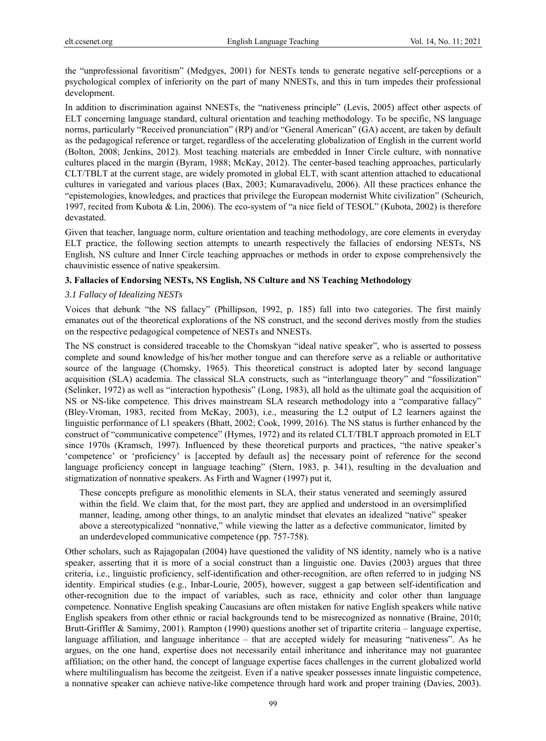the "unprofessional favoritism" (Medgyes, 2001) for NESTs tends to generate negative self-perceptions or a psychological complex of inferiority on the part of many NNESTs, and this in turn impedes their professional development.

In addition to discrimination against NNESTs, the "nativeness principle" (Levis, 2005) affect other aspects of ELT concerning language standard, cultural orientation and teaching methodology. To be specific, NS language norms, particularly "Received pronunciation" (RP) and/or "General American" (GA) accent, are taken by default as the pedagogical reference or target, regardless of the accelerating globalization of English in the current world (Bolton, 2008; Jenkins, 2012). Most teaching materials are embedded in Inner Circle culture, with nonnative cultures placed in the margin (Byram, 1988; McKay, 2012). The center-based teaching approaches, particularly CLT/TBLT at the current stage, are widely promoted in global ELT, with scant attention attached to educational cultures in variegated and various places (Bax, 2003; Kumaravadivelu, 2006). All these practices enhance the "epistemologies, knowledges, and practices that privilege the European modernist White civilization" (Scheurich, 1997, recited from Kubota & Lin, 2006). The eco-system of "a nice field of TESOL" (Kubota, 2002) is therefore devastated.

Given that teacher, language norm, culture orientation and teaching methodology, are core elements in everyday ELT practice, the following section attempts to unearth respectively the fallacies of endorsing NESTs, NS English, NS culture and Inner Circle teaching approaches or methods in order to expose comprehensively the chauvinistic essence of native speakersim.

## **3. Fallacies of Endorsing NESTs, NS English, NS Culture and NS Teaching Methodology**

## *3.1 Fallacy of Idealizing NESTs*

Voices that debunk "the NS fallacy" (Phillipson, 1992, p. 185) fall into two categories. The first mainly emanates out of the theoretical explorations of the NS construct, and the second derives mostly from the studies on the respective pedagogical competence of NESTs and NNESTs.

The NS construct is considered traceable to the Chomskyan "ideal native speaker", who is asserted to possess complete and sound knowledge of his/her mother tongue and can therefore serve as a reliable or authoritative source of the language (Chomsky, 1965). This theoretical construct is adopted later by second language acquisition (SLA) academia. The classical SLA constructs, such as "interlanguage theory" and "fossilization" (Selinker, 1972) as well as "interaction hypothesis" (Long, 1983), all hold as the ultimate goal the acquisition of NS or NS-like competence. This drives mainstream SLA research methodology into a "comparative fallacy" (Bley-Vroman, 1983, recited from McKay, 2003), i.e., measuring the L2 output of L2 learners against the linguistic performance of L1 speakers (Bhatt, 2002; Cook, 1999, 2016). The NS status is further enhanced by the construct of "communicative competence" (Hymes, 1972) and its related CLT/TBLT approach promoted in ELT since 1970s (Kramsch, 1997). Influenced by these theoretical purports and practices, "the native speaker's 'competence' or 'proficiency' is [accepted by default as] the necessary point of reference for the second language proficiency concept in language teaching" (Stern, 1983, p. 341), resulting in the devaluation and stigmatization of nonnative speakers. As Firth and Wagner (1997) put it,

These concepts prefigure as monolithic elements in SLA, their status venerated and seemingly assured within the field. We claim that, for the most part, they are applied and understood in an oversimplified manner, leading, among other things, to an analytic mindset that elevates an idealized "native" speaker above a stereotypicalized "nonnative," while viewing the latter as a defective communicator, limited by an underdeveloped communicative competence (pp. 757-758).

Other scholars, such as Rajagopalan (2004) have questioned the validity of NS identity, namely who is a native speaker, asserting that it is more of a social construct than a linguistic one. Davies (2003) argues that three criteria, i.e., linguistic proficiency, self-identification and other-recognition, are often referred to in judging NS identity. Empirical studies (e.g., Inbar-Lourie, 2005), however, suggest a gap between self-identification and other-recognition due to the impact of variables, such as race, ethnicity and color other than language competence. Nonnative English speaking Caucasians are often mistaken for native English speakers while native English speakers from other ethnic or racial backgrounds tend to be misrecognized as nonnative (Braine, 2010; Brutt-Griffler & Samimy, 2001). Rampton (1990) questions another set of tripartite criteria – language expertise, language affiliation, and language inheritance – that are accepted widely for measuring "nativeness". As he argues, on the one hand, expertise does not necessarily entail inheritance and inheritance may not guarantee affiliation; on the other hand, the concept of language expertise faces challenges in the current globalized world where multilingualism has become the zeitgeist. Even if a native speaker possesses innate linguistic competence, a nonnative speaker can achieve native-like competence through hard work and proper training (Davies, 2003).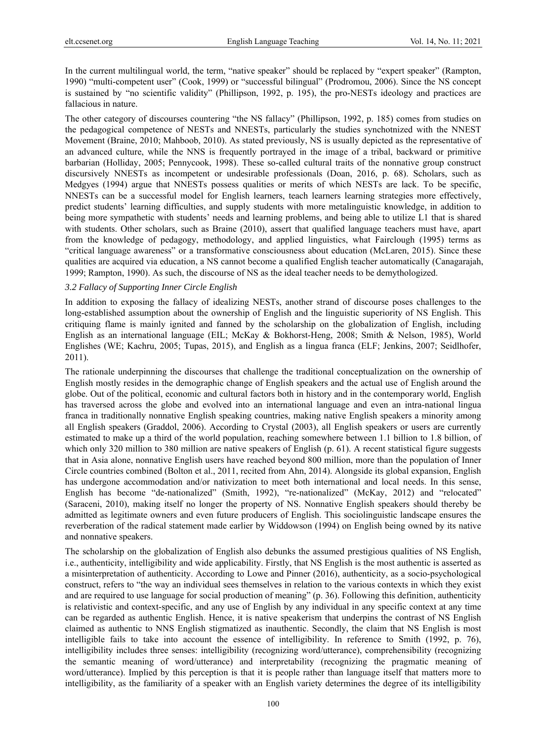In the current multilingual world, the term, "native speaker" should be replaced by "expert speaker" (Rampton, 1990) "multi-competent user" (Cook, 1999) or "successful bilingual" (Prodromou, 2006). Since the NS concept is sustained by "no scientific validity" (Phillipson, 1992, p. 195), the pro-NESTs ideology and practices are fallacious in nature.

The other category of discourses countering "the NS fallacy" (Phillipson, 1992, p. 185) comes from studies on the pedagogical competence of NESTs and NNESTs, particularly the studies synchotnized with the NNEST Movement (Braine, 2010; Mahboob, 2010). As stated previously, NS is usually depicted as the representative of an advanced culture, while the NNS is frequently portrayed in the image of a tribal, backward or primitive barbarian (Holliday, 2005; Pennycook, 1998). These so-called cultural traits of the nonnative group construct discursively NNESTs as incompetent or undesirable professionals (Doan, 2016, p. 68). Scholars, such as Medgyes (1994) argue that NNESTs possess qualities or merits of which NESTs are lack. To be specific, NNESTs can be a successful model for English learners, teach learners learning strategies more effectively, predict students' learning difficulties, and supply students with more metalinguistic knowledge, in addition to being more sympathetic with students' needs and learning problems, and being able to utilize L1 that is shared with students. Other scholars, such as Braine (2010), assert that qualified language teachers must have, apart from the knowledge of pedagogy, methodology, and applied linguistics, what Fairclough (1995) terms as "critical language awareness" or a transformative consciousness about education (McLaren, 2015). Since these qualities are acquired via education, a NS cannot become a qualified English teacher automatically (Canagarajah, 1999; Rampton, 1990). As such, the discourse of NS as the ideal teacher needs to be demythologized.

## *3.2 Fallacy of Supporting Inner Circle English*

In addition to exposing the fallacy of idealizing NESTs, another strand of discourse poses challenges to the long-established assumption about the ownership of English and the linguistic superiority of NS English. This critiquing flame is mainly ignited and fanned by the scholarship on the globalization of English, including English as an international language (EIL; McKay & Bokhorst-Heng, 2008; Smith & Nelson, 1985), World Englishes (WE; Kachru, 2005; Tupas, 2015), and English as a lingua franca (ELF; Jenkins, 2007; Seidlhofer, 2011).

The rationale underpinning the discourses that challenge the traditional conceptualization on the ownership of English mostly resides in the demographic change of English speakers and the actual use of English around the globe. Out of the political, economic and cultural factors both in history and in the contemporary world, English has traversed across the globe and evolved into an international language and even an intra-national lingua franca in traditionally nonnative English speaking countries, making native English speakers a minority among all English speakers (Graddol, 2006). According to Crystal (2003), all English speakers or users are currently estimated to make up a third of the world population, reaching somewhere between 1.1 billion to 1.8 billion, of which only 320 million to 380 million are native speakers of English (p. 61). A recent statistical figure suggests that in Asia alone, nonnative English users have reached beyond 800 million, more than the population of Inner Circle countries combined (Bolton et al., 2011, recited from Ahn, 2014). Alongside its global expansion, English has undergone accommodation and/or nativization to meet both international and local needs. In this sense, English has become "de-nationalized" (Smith, 1992), "re-nationalized" (McKay, 2012) and "relocated" (Saraceni, 2010), making itself no longer the property of NS. Nonnative English speakers should thereby be admitted as legitimate owners and even future producers of English. This sociolinguistic landscape ensures the reverberation of the radical statement made earlier by Widdowson (1994) on English being owned by its native and nonnative speakers.

The scholarship on the globalization of English also debunks the assumed prestigious qualities of NS English, i.e., authenticity, intelligibility and wide applicability. Firstly, that NS English is the most authentic is asserted as a misinterpretation of authenticity. According to Lowe and Pinner (2016), authenticity, as a socio-psychological construct, refers to "the way an individual sees themselves in relation to the various contexts in which they exist and are required to use language for social production of meaning" (p. 36). Following this definition, authenticity is relativistic and context-specific, and any use of English by any individual in any specific context at any time can be regarded as authentic English. Hence, it is native speakerism that underpins the contrast of NS English claimed as authentic to NNS English stigmatized as inauthentic. Secondly, the claim that NS English is most intelligible fails to take into account the essence of intelligibility. In reference to Smith (1992, p. 76), intelligibility includes three senses: intelligibility (recognizing word/utterance), comprehensibility (recognizing the semantic meaning of word/utterance) and interpretability (recognizing the pragmatic meaning of word/utterance). Implied by this perception is that it is people rather than language itself that matters more to intelligibility, as the familiarity of a speaker with an English variety determines the degree of its intelligibility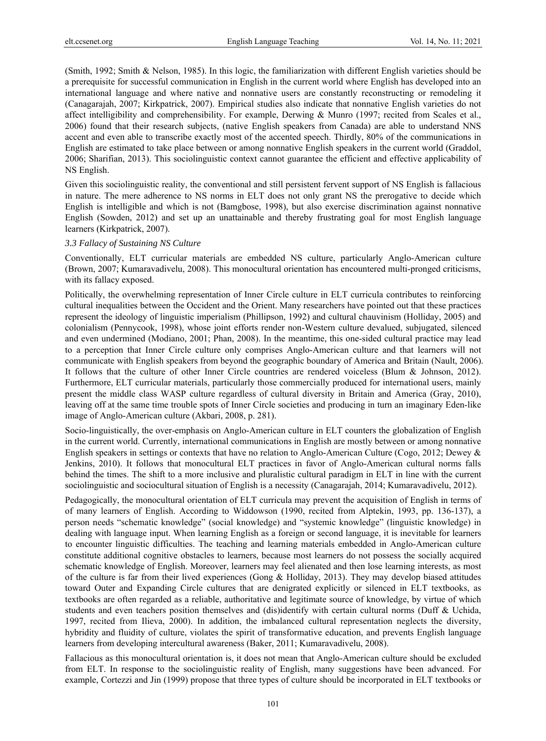(Smith, 1992; Smith & Nelson, 1985). In this logic, the familiarization with different English varieties should be a prerequisite for successful communication in English in the current world where English has developed into an international language and where native and nonnative users are constantly reconstructing or remodeling it (Canagarajah, 2007; Kirkpatrick, 2007). Empirical studies also indicate that nonnative English varieties do not affect intelligibility and comprehensibility. For example, Derwing & Munro (1997; recited from Scales et al., 2006) found that their research subjects, (native English speakers from Canada) are able to understand NNS accent and even able to transcribe exactly most of the accented speech. Thirdly, 80% of the communications in English are estimated to take place between or among nonnative English speakers in the current world (Graddol, 2006; Sharifian, 2013). This sociolinguistic context cannot guarantee the efficient and effective applicability of NS English.

Given this sociolinguistic reality, the conventional and still persistent fervent support of NS English is fallacious in nature. The mere adherence to NS norms in ELT does not only grant NS the prerogative to decide which English is intelligible and which is not (Bamgbose, 1998), but also exercise discrimination against nonnative English (Sowden, 2012) and set up an unattainable and thereby frustrating goal for most English language learners (Kirkpatrick, 2007).

## *3.3 Fallacy of Sustaining NS Culture*

Conventionally, ELT curricular materials are embedded NS culture, particularly Anglo-American culture (Brown, 2007; Kumaravadivelu, 2008). This monocultural orientation has encountered multi-pronged criticisms, with its fallacy exposed.

Politically, the overwhelming representation of Inner Circle culture in ELT curricula contributes to reinforcing cultural inequalities between the Occident and the Orient. Many researchers have pointed out that these practices represent the ideology of linguistic imperialism (Phillipson, 1992) and cultural chauvinism (Holliday, 2005) and colonialism (Pennycook, 1998), whose joint efforts render non-Western culture devalued, subjugated, silenced and even undermined (Modiano, 2001; Phan, 2008). In the meantime, this one-sided cultural practice may lead to a perception that Inner Circle culture only comprises Anglo-American culture and that learners will not communicate with English speakers from beyond the geographic boundary of America and Britain (Nault, 2006). It follows that the culture of other Inner Circle countries are rendered voiceless (Blum & Johnson, 2012). Furthermore, ELT curricular materials, particularly those commercially produced for international users, mainly present the middle class WASP culture regardless of cultural diversity in Britain and America (Gray, 2010), leaving off at the same time trouble spots of Inner Circle societies and producing in turn an imaginary Eden-like image of Anglo-American culture (Akbari, 2008, p. 281).

Socio-linguistically, the over-emphasis on Anglo-American culture in ELT counters the globalization of English in the current world. Currently, international communications in English are mostly between or among nonnative English speakers in settings or contexts that have no relation to Anglo-American Culture (Cogo, 2012; Dewey & Jenkins, 2010). It follows that monocultural ELT practices in favor of Anglo-American cultural norms falls behind the times. The shift to a more inclusive and pluralistic cultural paradigm in ELT in line with the current sociolinguistic and sociocultural situation of English is a necessity (Canagarajah, 2014; Kumaravadivelu, 2012).

Pedagogically, the monocultural orientation of ELT curricula may prevent the acquisition of English in terms of of many learners of English. According to Widdowson (1990, recited from Alptekin, 1993, pp. 136-137), a person needs "schematic knowledge" (social knowledge) and "systemic knowledge" (linguistic knowledge) in dealing with language input. When learning English as a foreign or second language, it is inevitable for learners to encounter linguistic difficulties. The teaching and learning materials embedded in Anglo-American culture constitute additional cognitive obstacles to learners, because most learners do not possess the socially acquired schematic knowledge of English. Moreover, learners may feel alienated and then lose learning interests, as most of the culture is far from their lived experiences (Gong & Holliday, 2013). They may develop biased attitudes toward Outer and Expanding Circle cultures that are denigrated explicitly or silenced in ELT textbooks, as textbooks are often regarded as a reliable, authoritative and legitimate source of knowledge, by virtue of which students and even teachers position themselves and (dis)identify with certain cultural norms (Duff & Uchida, 1997, recited from Ilieva, 2000). In addition, the imbalanced cultural representation neglects the diversity, hybridity and fluidity of culture, violates the spirit of transformative education, and prevents English language learners from developing intercultural awareness (Baker, 2011; Kumaravadivelu, 2008).

Fallacious as this monocultural orientation is, it does not mean that Anglo-American culture should be excluded from ELT. In response to the sociolinguistic reality of English, many suggestions have been advanced. For example, Cortezzi and Jin (1999) propose that three types of culture should be incorporated in ELT textbooks or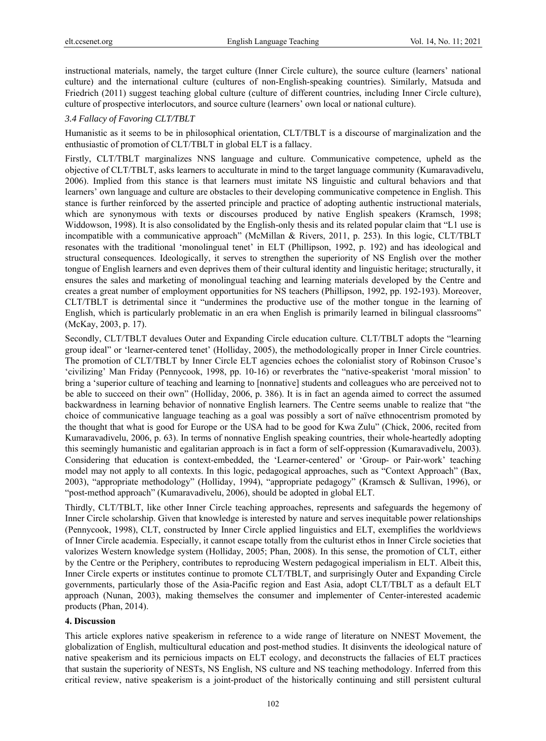instructional materials, namely, the target culture (Inner Circle culture), the source culture (learners' national culture) and the international culture (cultures of non-English-speaking countries). Similarly, Matsuda and Friedrich (2011) suggest teaching global culture (culture of different countries, including Inner Circle culture), culture of prospective interlocutors, and source culture (learners' own local or national culture).

## *3.4 Fallacy of Favoring CLT/TBLT*

Humanistic as it seems to be in philosophical orientation, CLT/TBLT is a discourse of marginalization and the enthusiastic of promotion of CLT/TBLT in global ELT is a fallacy.

Firstly, CLT/TBLT marginalizes NNS language and culture. Communicative competence, upheld as the objective of CLT/TBLT, asks learners to acculturate in mind to the target language community (Kumaravadivelu, 2006). Implied from this stance is that learners must imitate NS linguistic and cultural behaviors and that learners' own language and culture are obstacles to their developing communicative competence in English. This stance is further reinforced by the asserted principle and practice of adopting authentic instructional materials, which are synonymous with texts or discourses produced by native English speakers (Kramsch, 1998; Widdowson, 1998). It is also consolidated by the English-only thesis and its related popular claim that "L1 use is incompatible with a communicative approach" (McMillan & Rivers, 2011, p. 253). In this logic, CLT/TBLT resonates with the traditional 'monolingual tenet' in ELT (Phillipson, 1992, p. 192) and has ideological and structural consequences. Ideologically, it serves to strengthen the superiority of NS English over the mother tongue of English learners and even deprives them of their cultural identity and linguistic heritage; structurally, it ensures the sales and marketing of monolingual teaching and learning materials developed by the Centre and creates a great number of employment opportunities for NS teachers (Phillipson, 1992, pp. 192-193). Moreover, CLT/TBLT is detrimental since it "undermines the productive use of the mother tongue in the learning of English, which is particularly problematic in an era when English is primarily learned in bilingual classrooms" (McKay, 2003, p. 17).

Secondly, CLT/TBLT devalues Outer and Expanding Circle education culture. CLT/TBLT adopts the "learning group ideal" or 'learner-centered tenet' (Holliday, 2005), the methodologically proper in Inner Circle countries. The promotion of CLT/TBLT by Inner Circle ELT agencies echoes the colonialist story of Robinson Crusoe's 'civilizing' Man Friday (Pennycook, 1998, pp. 10-16) or reverbrates the "native-speakerist 'moral mission' to bring a 'superior culture of teaching and learning to [nonnative] students and colleagues who are perceived not to be able to succeed on their own" (Holliday, 2006, p. 386). It is in fact an agenda aimed to correct the assumed backwardness in learning behavior of nonnative English learners. The Centre seems unable to realize that "the choice of communicative language teaching as a goal was possibly a sort of naïve ethnocentrism promoted by the thought that what is good for Europe or the USA had to be good for Kwa Zulu" (Chick, 2006, recited from Kumaravadivelu, 2006, p. 63). In terms of nonnative English speaking countries, their whole-heartedly adopting this seemingly humanistic and egalitarian approach is in fact a form of self-oppression (Kumaravadivelu, 2003). Considering that education is context-embedded, the 'Learner-centered' or 'Group- or Pair-work' teaching model may not apply to all contexts. In this logic, pedagogical approaches, such as "Context Approach" (Bax, 2003), "appropriate methodology" (Holliday, 1994), "appropriate pedagogy" (Kramsch & Sullivan, 1996), or "post-method approach" (Kumaravadivelu, 2006), should be adopted in global ELT.

Thirdly, CLT/TBLT, like other Inner Circle teaching approaches, represents and safeguards the hegemony of Inner Circle scholarship. Given that knowledge is interested by nature and serves inequitable power relationships (Pennycook, 1998), CLT, constructed by Inner Circle applied linguistics and ELT, exemplifies the worldviews of Inner Circle academia. Especially, it cannot escape totally from the culturist ethos in Inner Circle societies that valorizes Western knowledge system (Holliday, 2005; Phan, 2008). In this sense, the promotion of CLT, either by the Centre or the Periphery, contributes to reproducing Western pedagogical imperialism in ELT. Albeit this, Inner Circle experts or institutes continue to promote CLT/TBLT, and surprisingly Outer and Expanding Circle governments, particularly those of the Asia-Pacific region and East Asia, adopt CLT/TBLT as a default ELT approach (Nunan, 2003), making themselves the consumer and implementer of Center-interested academic products (Phan, 2014).

## **4. Discussion**

This article explores native speakerism in reference to a wide range of literature on NNEST Movement, the globalization of English, multicultural education and post-method studies. It disinvents the ideological nature of native speakerism and its pernicious impacts on ELT ecology, and deconstructs the fallacies of ELT practices that sustain the superiority of NESTs, NS English, NS culture and NS teaching methodology. Inferred from this critical review, native speakerism is a joint-product of the historically continuing and still persistent cultural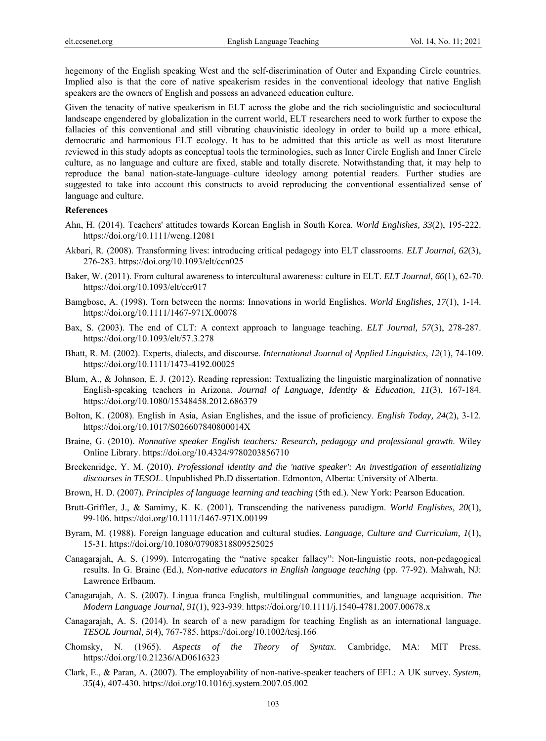hegemony of the English speaking West and the self-discrimination of Outer and Expanding Circle countries. Implied also is that the core of native speakerism resides in the conventional ideology that native English speakers are the owners of English and possess an advanced education culture.

Given the tenacity of native speakerism in ELT across the globe and the rich sociolinguistic and sociocultural landscape engendered by globalization in the current world, ELT researchers need to work further to expose the fallacies of this conventional and still vibrating chauvinistic ideology in order to build up a more ethical, democratic and harmonious ELT ecology. It has to be admitted that this article as well as most literature reviewed in this study adopts as conceptual tools the terminologies, such as Inner Circle English and Inner Circle culture, as no language and culture are fixed, stable and totally discrete. Notwithstanding that, it may help to reproduce the banal nation-state-language–culture ideology among potential readers. Further studies are suggested to take into account this constructs to avoid reproducing the conventional essentialized sense of language and culture.

## **References**

- Ahn, H. (2014). Teachers' attitudes towards Korean English in South Korea. *World Englishes, 33*(2), 195-222. https://doi.org/10.1111/weng.12081
- Akbari, R. (2008). Transforming lives: introducing critical pedagogy into ELT classrooms. *ELT Journal, 62*(3), 276-283. https://doi.org/10.1093/elt/ccn025
- Baker, W. (2011). From cultural awareness to intercultural awareness: culture in ELT. *ELT Journal, 66*(1), 62-70. https://doi.org/10.1093/elt/ccr017
- Bamgbose, A. (1998). Torn between the norms: Innovations in world Englishes. *World Englishes, 17*(1), 1-14. https://doi.org/10.1111/1467-971X.00078
- Bax, S. (2003). The end of CLT: A context approach to language teaching. *ELT Journal, 57*(3), 278-287. https://doi.org/10.1093/elt/57.3.278
- Bhatt, R. M. (2002). Experts, dialects, and discourse. *International Journal of Applied Linguistics, 12*(1), 74-109. https://doi.org/10.1111/1473-4192.00025
- Blum, A., & Johnson, E. J. (2012). Reading repression: Textualizing the linguistic marginalization of nonnative English-speaking teachers in Arizona. *Journal of Language, Identity & Education, 11*(3), 167-184. https://doi.org/10.1080/15348458.2012.686379
- Bolton, K. (2008). English in Asia, Asian Englishes, and the issue of proficiency. *English Today, 24*(2), 3-12. https://doi.org/10.1017/S026607840800014X
- Braine, G. (2010). *Nonnative speaker English teachers: Research, pedagogy and professional growth*. Wiley Online Library. https://doi.org/10.4324/9780203856710
- Breckenridge, Y. M. (2010). *Professional identity and the 'native speaker': An investigation of essentializing discourses in TESOL*. Unpublished Ph.D dissertation. Edmonton, Alberta: University of Alberta.
- Brown, H. D. (2007). *Principles of language learning and teaching* (5th ed.). New York: Pearson Education.
- Brutt-Griffler, J., & Samimy, K. K. (2001). Transcending the nativeness paradigm. *World Englishes, 20*(1), 99-106. https://doi.org/10.1111/1467-971X.00199
- Byram, M. (1988). Foreign language education and cultural studies. *Language, Culture and Curriculum, 1*(1), 15-31. https://doi.org/10.1080/07908318809525025
- Canagarajah, A. S. (1999). Interrogating the "native speaker fallacy": Non-linguistic roots, non-pedagogical results. In G. Braine (Ed.), *Non-native educators in English language teaching* (pp. 77-92). Mahwah, NJ: Lawrence Erlbaum.
- Canagarajah, A. S. (2007). Lingua franca English, multilingual communities, and language acquisition. *The Modern Language Journal, 91*(1), 923-939. https://doi.org/10.1111/j.1540-4781.2007.00678.x
- Canagarajah, A. S. (2014). In search of a new paradigm for teaching English as an international language. *TESOL Journal, 5*(4), 767-785. https://doi.org/10.1002/tesj.166
- Chomsky, N. (1965). *Aspects of the Theory of Syntax*. Cambridge, MA: MIT Press. https://doi.org/10.21236/AD0616323
- Clark, E., & Paran, A. (2007). The employability of non-native-speaker teachers of EFL: A UK survey. *System, 35*(4), 407-430. https://doi.org/10.1016/j.system.2007.05.002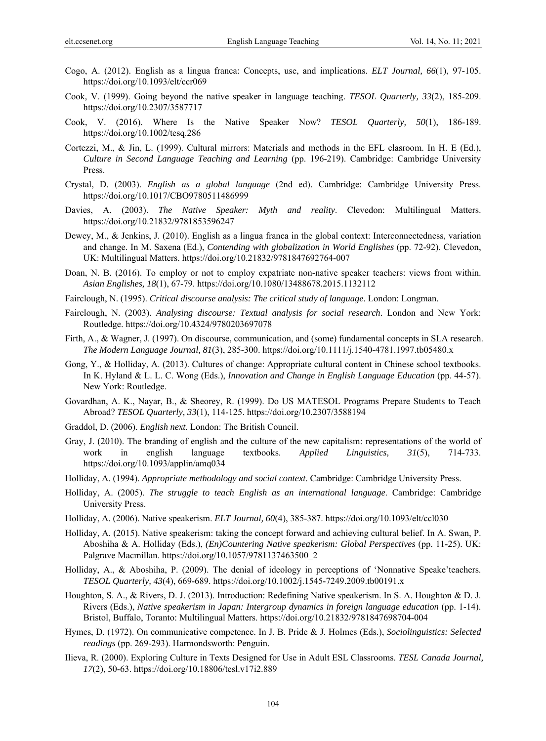- Cogo, A. (2012). English as a lingua franca: Concepts, use, and implications. *ELT Journal, 66*(1), 97-105. https://doi.org/10.1093/elt/ccr069
- Cook, V. (1999). Going beyond the native speaker in language teaching. *TESOL Quarterly, 33*(2), 185-209. https://doi.org/10.2307/3587717
- Cook, V. (2016). Where Is the Native Speaker Now? *TESOL Quarterly, 50*(1), 186-189. https://doi.org/10.1002/tesq.286
- Cortezzi, M., & Jin, L. (1999). Cultural mirrors: Materials and methods in the EFL clasroom. In H. E (Ed.), *Culture in Second Language Teaching and Learning* (pp. 196-219). Cambridge: Cambridge University Press.
- Crystal, D. (2003). *English as a global language* (2nd ed). Cambridge: Cambridge University Press. https://doi.org/10.1017/CBO9780511486999
- Davies, A. (2003). *The Native Speaker: Myth and reality*. Clevedon: Multilingual Matters. https://doi.org/10.21832/9781853596247
- Dewey, M., & Jenkins, J. (2010). English as a lingua franca in the global context: Interconnectedness, variation and change. In M. Saxena (Ed.), *Contending with globalization in World Englishes* (pp. 72-92). Clevedon, UK: Multilingual Matters. https://doi.org/10.21832/9781847692764-007
- Doan, N. B. (2016). To employ or not to employ expatriate non-native speaker teachers: views from within. *Asian Englishes, 18*(1), 67-79. https://doi.org/10.1080/13488678.2015.1132112
- Fairclough, N. (1995). *Critical discourse analysis: The critical study of language*. London: Longman.
- Fairclough, N. (2003). *Analysing discourse: Textual analysis for social research*. London and New York: Routledge. https://doi.org/10.4324/9780203697078
- Firth, A., & Wagner, J. (1997). On discourse, communication, and (some) fundamental concepts in SLA research. *The Modern Language Journal, 81*(3), 285-300. https://doi.org/10.1111/j.1540-4781.1997.tb05480.x
- Gong, Y., & Holliday, A. (2013). Cultures of change: Appropriate cultural content in Chinese school textbooks. In K. Hyland & L. L. C. Wong (Eds.), *Innovation and Change in English Language Education* (pp. 44-57). New York: Routledge.
- Govardhan, A. K., Nayar, B., & Sheorey, R. (1999). Do US MATESOL Programs Prepare Students to Teach Abroad? *TESOL Quarterly, 33*(1), 114-125. https://doi.org/10.2307/3588194
- Graddol, D. (2006). *English next*. London: The British Council.
- Gray, J. (2010). The branding of english and the culture of the new capitalism: representations of the world of work in english language textbooks. *Applied Linguistics, 31*(5), 714-733. https://doi.org/10.1093/applin/amq034
- Holliday, A. (1994). *Appropriate methodology and social context*. Cambridge: Cambridge University Press.
- Holliday, A. (2005). *The struggle to teach English as an international language*. Cambridge: Cambridge University Press.
- Holliday, A. (2006). Native speakerism. *ELT Journal, 60*(4), 385-387. https://doi.org/10.1093/elt/ccl030
- Holliday, A. (2015). Native speakerism: taking the concept forward and achieving cultural belief. In A. Swan, P. Aboshiha & A. Holliday (Eds.), *(En)Countering Native speakerism: Global Perspectives* (pp. 11-25). UK: Palgrave Macmillan. https://doi.org/10.1057/9781137463500\_2
- Holliday, A., & Aboshiha, P. (2009). The denial of ideology in perceptions of 'Nonnative Speake'teachers. *TESOL Quarterly, 43*(4), 669-689. https://doi.org/10.1002/j.1545-7249.2009.tb00191.x
- Houghton, S. A., & Rivers, D. J. (2013). Introduction: Redefining Native speakerism. In S. A. Houghton & D. J. Rivers (Eds.), *Native speakerism in Japan: Intergroup dynamics in foreign language education* (pp. 1-14). Bristol, Buffalo, Toranto: Multilingual Matters. https://doi.org/10.21832/9781847698704-004
- Hymes, D. (1972). On communicative competence. In J. B. Pride & J. Holmes (Eds.), *Sociolinguistics: Selected readings* (pp. 269-293). Harmondsworth: Penguin.
- Ilieva, R. (2000). Exploring Culture in Texts Designed for Use in Adult ESL Classrooms. *TESL Canada Journal, 17*(2), 50-63. https://doi.org/10.18806/tesl.v17i2.889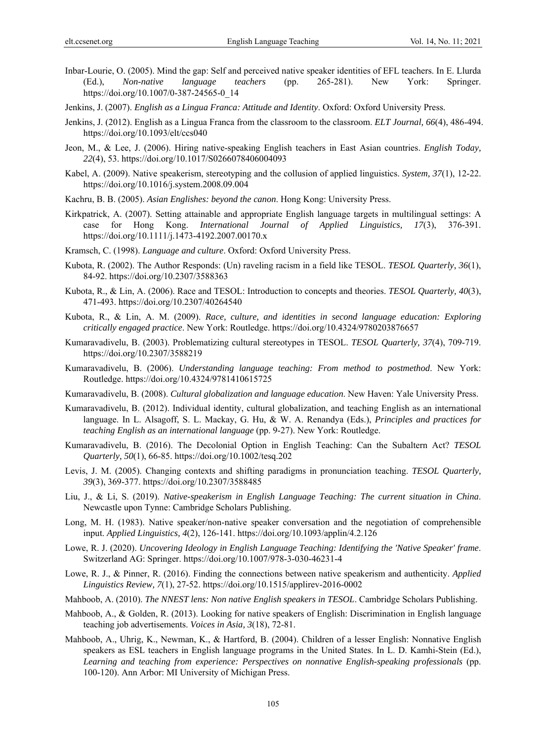- Inbar-Lourie, O. (2005). Mind the gap: Self and perceived native speaker identities of EFL teachers. In E. Llurda (Ed.), *Non-native language teachers* (pp. 265-281). New York: Springer. https://doi.org/10.1007/0-387-24565-0\_14
- Jenkins, J. (2007). *English as a Lingua Franca: Attitude and Identity*. Oxford: Oxford University Press.
- Jenkins, J. (2012). English as a Lingua Franca from the classroom to the classroom. *ELT Journal, 66*(4), 486-494. https://doi.org/10.1093/elt/ccs040
- Jeon, M., & Lee, J. (2006). Hiring native-speaking English teachers in East Asian countries. *English Today, 22*(4), 53. https://doi.org/10.1017/S0266078406004093
- Kabel, A. (2009). Native speakerism, stereotyping and the collusion of applied linguistics. *System, 37*(1), 12-22. https://doi.org/10.1016/j.system.2008.09.004
- Kachru, B. B. (2005). *Asian Englishes: beyond the canon*. Hong Kong: University Press.
- Kirkpatrick, A. (2007). Setting attainable and appropriate English language targets in multilingual settings: A case for Hong Kong. *International Journal of Applied Linguistics, 17*(3), 376-391. https://doi.org/10.1111/j.1473-4192.2007.00170.x
- Kramsch, C. (1998). *Language and culture*. Oxford: Oxford University Press.
- Kubota, R. (2002). The Author Responds: (Un) raveling racism in a field like TESOL. *TESOL Quarterly, 36*(1), 84-92. https://doi.org/10.2307/3588363
- Kubota, R., & Lin, A. (2006). Race and TESOL: Introduction to concepts and theories. *TESOL Quarterly, 40*(3), 471-493. https://doi.org/10.2307/40264540
- Kubota, R., & Lin, A. M. (2009). *Race, culture, and identities in second language education: Exploring critically engaged practice*. New York: Routledge. https://doi.org/10.4324/9780203876657
- Kumaravadivelu, B. (2003). Problematizing cultural stereotypes in TESOL. *TESOL Quarterly, 37*(4), 709-719. https://doi.org/10.2307/3588219
- Kumaravadivelu, B. (2006). *Understanding language teaching: From method to postmethod*. New York: Routledge. https://doi.org/10.4324/9781410615725
- Kumaravadivelu, B. (2008). *Cultural globalization and language education*. New Haven: Yale University Press.
- Kumaravadivelu, B. (2012). Individual identity, cultural globalization, and teaching English as an international language. In L. Alsagoff, S. L. Mackay, G. Hu, & W. A. Renandya (Eds.), *Principles and practices for teaching English as an international language* (pp. 9-27). New York: Routledge.
- Kumaravadivelu, B. (2016). The Decolonial Option in English Teaching: Can the Subaltern Act? *TESOL Quarterly, 50*(1), 66-85. https://doi.org/10.1002/tesq.202
- Levis, J. M. (2005). Changing contexts and shifting paradigms in pronunciation teaching. *TESOL Quarterly, 39*(3), 369-377. https://doi.org/10.2307/3588485
- Liu, J., & Li, S. (2019). *Native-speakerism in English Language Teaching: The current situation in China*. Newcastle upon Tynne: Cambridge Scholars Publishing.
- Long, M. H. (1983). Native speaker/non-native speaker conversation and the negotiation of comprehensible input. *Applied Linguistics, 4*(2), 126-141. https://doi.org/10.1093/applin/4.2.126
- Lowe, R. J. (2020). *Uncovering Ideology in English Language Teaching: Identifying the 'Native Speaker' frame*. Switzerland AG: Springer. https://doi.org/10.1007/978-3-030-46231-4
- Lowe, R. J., & Pinner, R. (2016). Finding the connections between native speakerism and authenticity. *Applied Linguistics Review, 7*(1), 27-52. https://doi.org/10.1515/applirev-2016-0002
- Mahboob, A. (2010). *The NNEST lens: Non native English speakers in TESOL*. Cambridge Scholars Publishing.
- Mahboob, A., & Golden, R. (2013). Looking for native speakers of English: Discrimination in English language teaching job advertisements. *Voices in Asia, 3*(18), 72-81.
- Mahboob, A., Uhrig, K., Newman, K., & Hartford, B. (2004). Children of a lesser English: Nonnative English speakers as ESL teachers in English language programs in the United States. In L. D. Kamhi-Stein (Ed.), *Learning and teaching from experience: Perspectives on nonnative English-speaking professionals* (pp. 100-120). Ann Arbor: MI University of Michigan Press.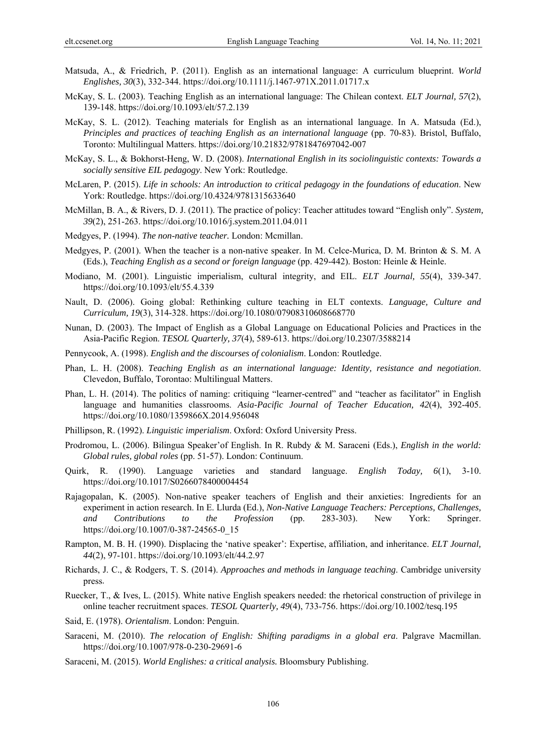- Matsuda, A., & Friedrich, P. (2011). English as an international language: A curriculum blueprint. *World Englishes, 30*(3), 332-344. https://doi.org/10.1111/j.1467-971X.2011.01717.x
- McKay, S. L. (2003). Teaching English as an international language: The Chilean context. *ELT Journal, 57*(2), 139-148. https://doi.org/10.1093/elt/57.2.139
- McKay, S. L. (2012). Teaching materials for English as an international language. In A. Matsuda (Ed.), *Principles and practices of teaching English as an international language* (pp. 70-83). Bristol, Buffalo, Toronto: Multilingual Matters. https://doi.org/10.21832/9781847697042-007
- McKay, S. L., & Bokhorst-Heng, W. D. (2008). *International English in its sociolinguistic contexts: Towards a socially sensitive EIL pedagogy*. New York: Routledge.
- McLaren, P. (2015). *Life in schools: An introduction to critical pedagogy in the foundations of education*. New York: Routledge. https://doi.org/10.4324/9781315633640
- McMillan, B. A., & Rivers, D. J. (2011). The practice of policy: Teacher attitudes toward "English only". *System, 39*(2), 251-263. https://doi.org/10.1016/j.system.2011.04.011
- Medgyes, P. (1994). *The non-native teacher.* London: Mcmillan.
- Medgyes, P. (2001). When the teacher is a non-native speaker. In M. Celce-Murica, D. M. Brinton & S. M. A (Eds.), *Teaching English as a second or foreign language* (pp. 429-442). Boston: Heinle & Heinle.
- Modiano, M. (2001). Linguistic imperialism, cultural integrity, and EIL. *ELT Journal, 55*(4), 339-347. https://doi.org/10.1093/elt/55.4.339
- Nault, D. (2006). Going global: Rethinking culture teaching in ELT contexts. *Language, Culture and Curriculum, 19*(3), 314-328. https://doi.org/10.1080/07908310608668770
- Nunan, D. (2003). The Impact of English as a Global Language on Educational Policies and Practices in the Asia‐Pacific Region. *TESOL Quarterly, 37*(4), 589-613. https://doi.org/10.2307/3588214
- Pennycook, A. (1998). *English and the discourses of colonialism*. London: Routledge.
- Phan, L. H. (2008). *Teaching English as an international language: Identity, resistance and negotiation*. Clevedon, Buffalo, Torontao: Multilingual Matters.
- Phan, L. H. (2014). The politics of naming: critiquing "learner-centred" and "teacher as facilitator" in English language and humanities classrooms. *Asia-Pacific Journal of Teacher Education, 42*(4), 392-405. https://doi.org/10.1080/1359866X.2014.956048
- Phillipson, R. (1992). *Linguistic imperialism*. Oxford: Oxford University Press.
- Prodromou, L. (2006). Bilingua Speaker'of English. In R. Rubdy & M. Saraceni (Eds.), *English in the world: Global rules, global roles* (pp. 51-57). London: Continuum.
- Quirk, R. (1990). Language varieties and standard language. *English Today, 6*(1), 3-10. https://doi.org/10.1017/S0266078400004454
- Rajagopalan, K. (2005). Non-native speaker teachers of English and their anxieties: Ingredients for an experiment in action research. In E. Llurda (Ed.), *Non-Native Language Teachers: Perceptions, Challenges, and Contributions to the Profession* (pp. 283-303). New York: Springer. https://doi.org/10.1007/0-387-24565-0\_15
- Rampton, M. B. H. (1990). Displacing the 'native speaker': Expertise, affiliation, and inheritance. *ELT Journal, 44*(2), 97-101. https://doi.org/10.1093/elt/44.2.97
- Richards, J. C., & Rodgers, T. S. (2014). *Approaches and methods in language teaching*. Cambridge university press.
- Ruecker, T., & Ives, L. (2015). White native English speakers needed: the rhetorical construction of privilege in online teacher recruitment spaces. *TESOL Quarterly, 49*(4), 733-756. https://doi.org/10.1002/tesq.195
- Said, E. (1978). *Orientalism*. London: Penguin.
- Saraceni, M. (2010). *The relocation of English: Shifting paradigms in a global era*. Palgrave Macmillan. https://doi.org/10.1007/978-0-230-29691-6
- Saraceni, M. (2015). *World Englishes: a critical analysis.* Bloomsbury Publishing.